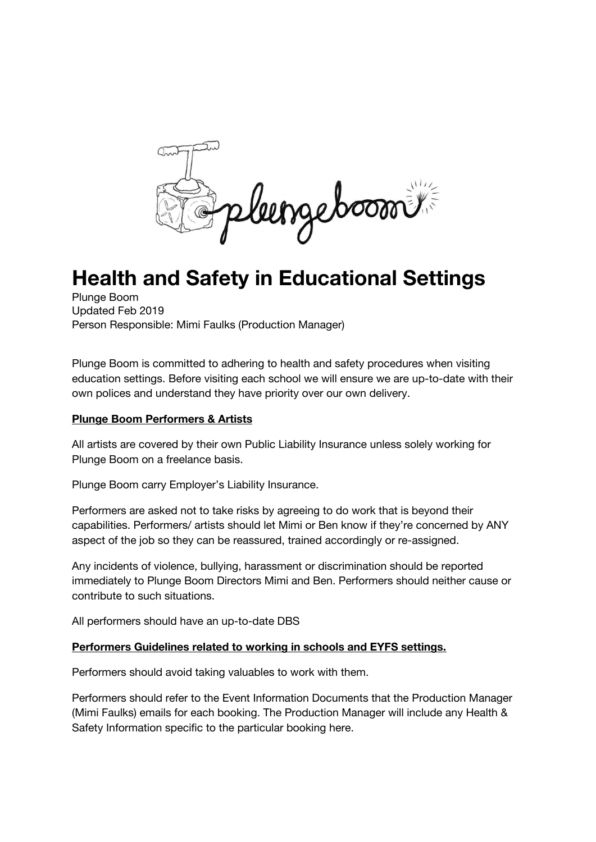leengeboom

# **Health and Safety in Educational Settings**

Plunge Boom Updated Feb 2019 Person Responsible: Mimi Faulks (Production Manager)

Plunge Boom is committed to adhering to health and safety procedures when visiting education settings. Before visiting each school we will ensure we are up-to-date with their own polices and understand they have priority over our own delivery.

## **Plunge Boom Performers & Artists**

All artists are covered by their own Public Liability Insurance unless solely working for Plunge Boom on a freelance basis.

Plunge Boom carry Employer's Liability Insurance.

Performers are asked not to take risks by agreeing to do work that is beyond their capabilities. Performers/ artists should let Mimi or Ben know if they're concerned by ANY aspect of the job so they can be reassured, trained accordingly or re-assigned.

Any incidents of violence, bullying, harassment or discrimination should be reported immediately to Plunge Boom Directors Mimi and Ben. Performers should neither cause or contribute to such situations.

All performers should have an up-to-date DBS

## **Performers Guidelines related to working in schools and EYFS settings.**

Performers should avoid taking valuables to work with them.

Performers should refer to the Event Information Documents that the Production Manager (Mimi Faulks) emails for each booking. The Production Manager will include any Health & Safety Information specific to the particular booking here.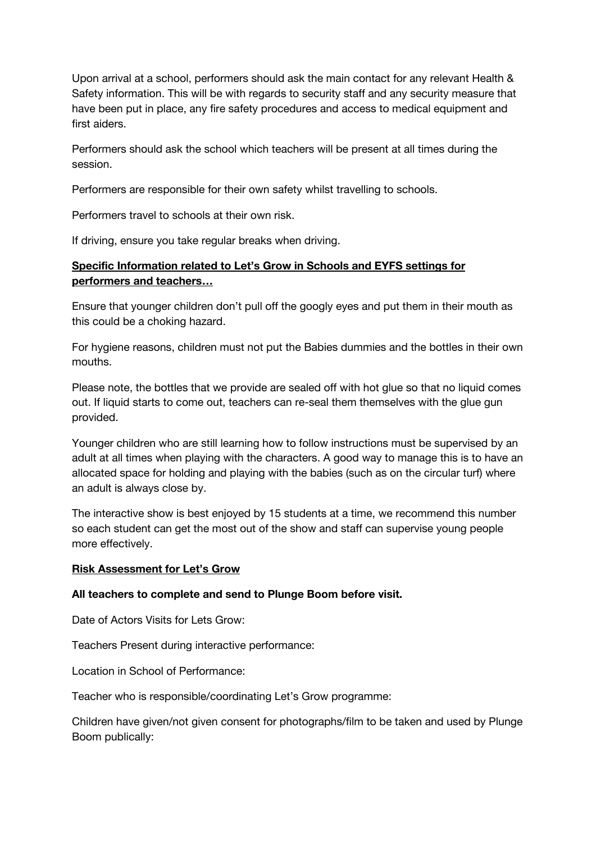Upon arrival at a school, performers should ask the main contact for any relevant Health & Safety information. This will be with regards to security staff and any security measure that have been put in place, any fire safety procedures and access to medical equipment and first aiders.

Performers should ask the school which teachers will be present at all times during the session.

Performers are responsible for their own safety whilst travelling to schools.

Performers travel to schools at their own risk.

If driving, ensure you take regular breaks when driving.

## **Specific Information related to Let's Grow in Schools and EYFS settings for performers and teachers…**

Ensure that younger children don't pull off the googly eyes and put them in their mouth as this could be a choking hazard.

For hygiene reasons, children must not put the Babies dummies and the bottles in their own mouths.

Please note, the bottles that we provide are sealed off with hot glue so that no liquid comes out. If liquid starts to come out, teachers can re-seal them themselves with the glue gun provided.

Younger children who are still learning how to follow instructions must be supervised by an adult at all times when playing with the characters. A good way to manage this is to have an allocated space for holding and playing with the babies (such as on the circular turf) where an adult is always close by.

The interactive show is best enjoyed by 15 students at a time, we recommend this number so each student can get the most out of the show and staff can supervise young people more effectively.

### **Risk Assessment for Let's Grow**

### **All teachers to complete and send to Plunge Boom before visit.**

Date of Actors Visits for Lets Grow:

Teachers Present during interactive performance:

Location in School of Performance:

Teacher who is responsible/coordinating Let's Grow programme:

Children have given/not given consent for photographs/film to be taken and used by Plunge Boom publically: